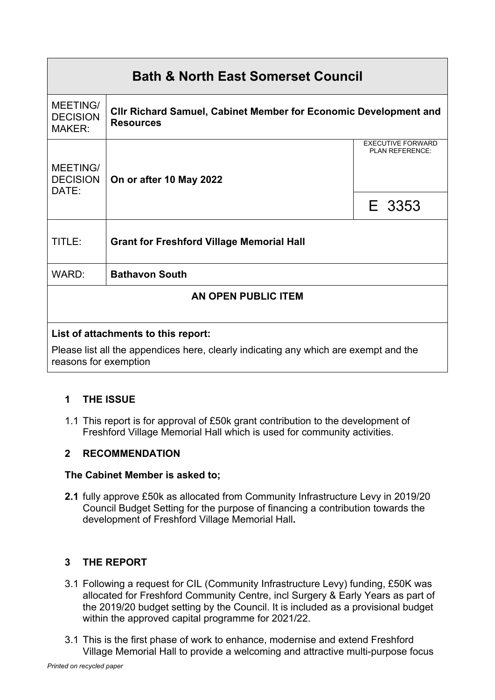# **Bath & North East Somerset Council** MEETING/ DECISION MAKER: **Cllr Richard Samuel, Cabinet Member for Economic Development and Resources** EXECUTIVE FORWARD PLAN REFERENCE: MEETING/ **DECISION** DATE: **On or after 10 May 2022** E 3353 TITLE: **Grant for Freshford Village Memorial Hall** WARD: **Bathavon South AN OPEN PUBLIC ITEM List of attachments to this report:**

Please list all the appendices here, clearly indicating any which are exempt and the reasons for exemption

# **1 THE ISSUE**

1.1 This report is for approval of £50k grant contribution to the development of Freshford Village Memorial Hall which is used for community activities.

# **2 RECOMMENDATION**

## **The Cabinet Member is asked to;**

**2.1** fully approve £50k as allocated from Community Infrastructure Levy in 2019/20 Council Budget Setting for the purpose of financing a contribution towards the development of Freshford Village Memorial Hall**.**

# **3 THE REPORT**

- 3.1 Following a request for CIL (Community Infrastructure Levy) funding, £50K was allocated for Freshford Community Centre, incl Surgery & Early Years as part of the 2019/20 budget setting by the Council. It is included as a provisional budget within the approved capital programme for 2021/22.
- 3.1 This is the first phase of work to enhance, modernise and extend Freshford Village Memorial Hall to provide a welcoming and attractive multi-purpose focus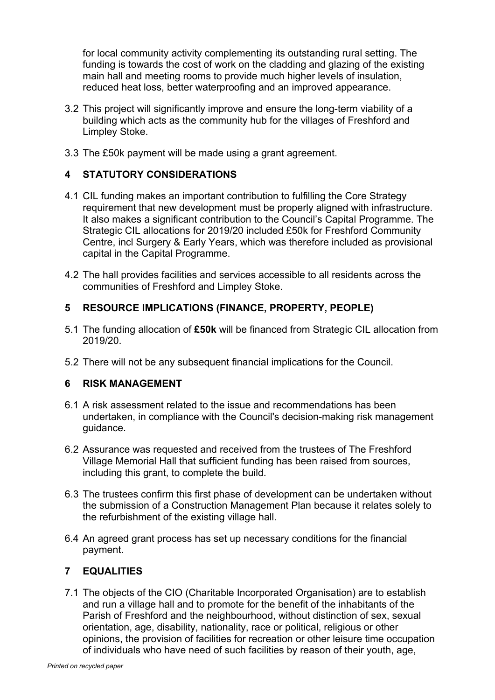for local community activity complementing its outstanding rural setting. The funding is towards the cost of work on the cladding and glazing of the existing main hall and meeting rooms to provide much higher levels of insulation, reduced heat loss, better waterproofing and an improved appearance.

- 3.2 This project will significantly improve and ensure the long-term viability of a building which acts as the community hub for the villages of Freshford and Limpley Stoke.
- 3.3 The £50k payment will be made using a grant agreement.

## **4 STATUTORY CONSIDERATIONS**

- 4.1 CIL funding makes an important contribution to fulfilling the Core Strategy requirement that new development must be properly aligned with infrastructure. It also makes a significant contribution to the Council's Capital Programme. The Strategic CIL allocations for 2019/20 included £50k for Freshford Community Centre, incl Surgery & Early Years, which was therefore included as provisional capital in the Capital Programme.
- 4.2 The hall provides facilities and services accessible to all residents across the communities of Freshford and Limpley Stoke.

## **5 RESOURCE IMPLICATIONS (FINANCE, PROPERTY, PEOPLE)**

- 5.1 The funding allocation of **£50k** will be financed from Strategic CIL allocation from 2019/20.
- 5.2 There will not be any subsequent financial implications for the Council.

## **6 RISK MANAGEMENT**

- 6.1 A risk assessment related to the issue and recommendations has been undertaken, in compliance with the Council's decision-making risk management guidance.
- 6.2 Assurance was requested and received from the trustees of The Freshford Village Memorial Hall that sufficient funding has been raised from sources, including this grant, to complete the build.
- 6.3 The trustees confirm this first phase of development can be undertaken without the submission of a Construction Management Plan because it relates solely to the refurbishment of the existing village hall.
- 6.4 An agreed grant process has set up necessary conditions for the financial payment.

## **7 EQUALITIES**

7.1 The objects of the CIO (Charitable Incorporated Organisation) are to establish and run a village hall and to promote for the benefit of the inhabitants of the Parish of Freshford and the neighbourhood, without distinction of sex, sexual orientation, age, disability, nationality, race or political, religious or other opinions, the provision of facilities for recreation or other leisure time occupation of individuals who have need of such facilities by reason of their youth, age,